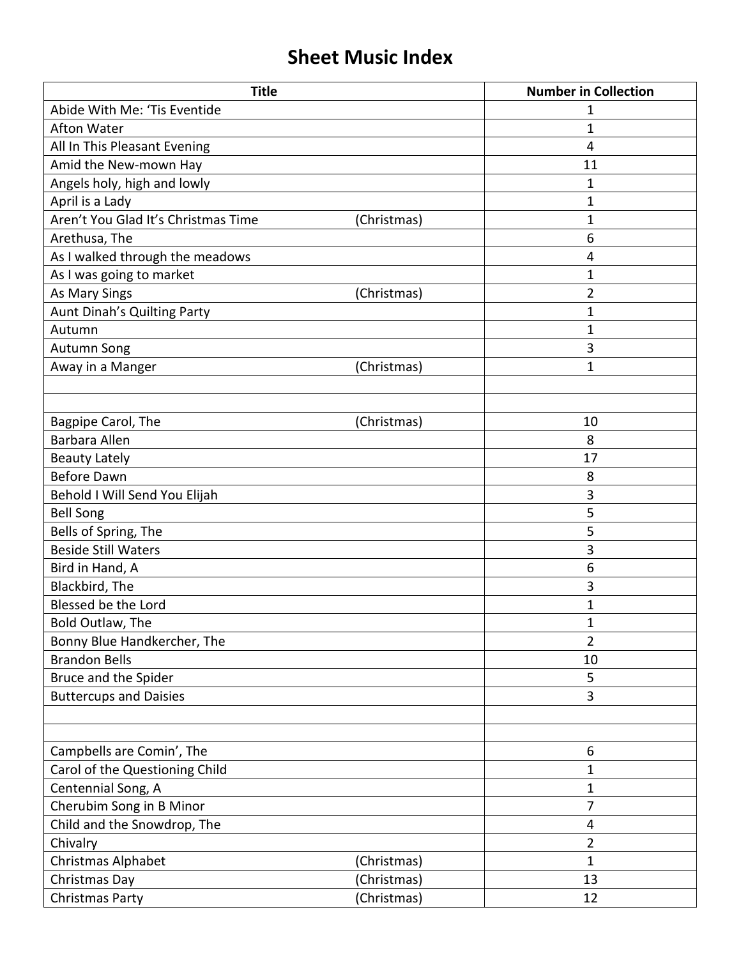## **Sheet Music Index**

| <b>Title</b>                        |             | <b>Number in Collection</b> |
|-------------------------------------|-------------|-----------------------------|
| Abide With Me: 'Tis Eventide        |             | 1                           |
| <b>Afton Water</b>                  |             | $\mathbf{1}$                |
| All In This Pleasant Evening        |             | 4                           |
| Amid the New-mown Hay               |             | 11                          |
| Angels holy, high and lowly         |             | 1                           |
| April is a Lady                     |             | 1                           |
| Aren't You Glad It's Christmas Time | (Christmas) | $\mathbf{1}$                |
| Arethusa, The                       |             | 6                           |
| As I walked through the meadows     |             | 4                           |
| As I was going to market            |             | $\mathbf{1}$                |
| As Mary Sings                       | (Christmas) | $\overline{2}$              |
| Aunt Dinah's Quilting Party         |             | 1                           |
| Autumn                              |             | 1                           |
| <b>Autumn Song</b>                  |             | 3                           |
| Away in a Manger                    | (Christmas) | $\mathbf{1}$                |
|                                     |             |                             |
|                                     |             |                             |
| Bagpipe Carol, The                  | (Christmas) | 10                          |
| <b>Barbara Allen</b>                |             | 8                           |
| <b>Beauty Lately</b>                |             | 17                          |
| Before Dawn                         |             | 8                           |
| Behold I Will Send You Elijah       |             | 3                           |
| <b>Bell Song</b>                    |             | 5                           |
| Bells of Spring, The                |             | 5                           |
| <b>Beside Still Waters</b>          |             | 3                           |
| Bird in Hand, A                     |             | 6                           |
| Blackbird, The                      |             | 3                           |
| Blessed be the Lord                 |             | 1                           |
| Bold Outlaw, The                    |             | 1                           |
| Bonny Blue Handkercher, The         |             | $\overline{2}$              |
| <b>Brandon Bells</b>                |             | 10                          |
| Bruce and the Spider                |             | 5                           |
| <b>Buttercups and Daisies</b>       |             | 3                           |
|                                     |             |                             |
|                                     |             |                             |
| Campbells are Comin', The           |             | 6                           |
| Carol of the Questioning Child      |             | 1                           |
| Centennial Song, A                  |             | $\mathbf{1}$                |
| Cherubim Song in B Minor            |             | 7                           |
| Child and the Snowdrop, The         |             | 4                           |
| Chivalry                            |             | $\overline{2}$              |
| Christmas Alphabet                  | (Christmas) | $\mathbf{1}$                |
| Christmas Day                       | (Christmas) | 13                          |
| Christmas Party                     | (Christmas) | 12                          |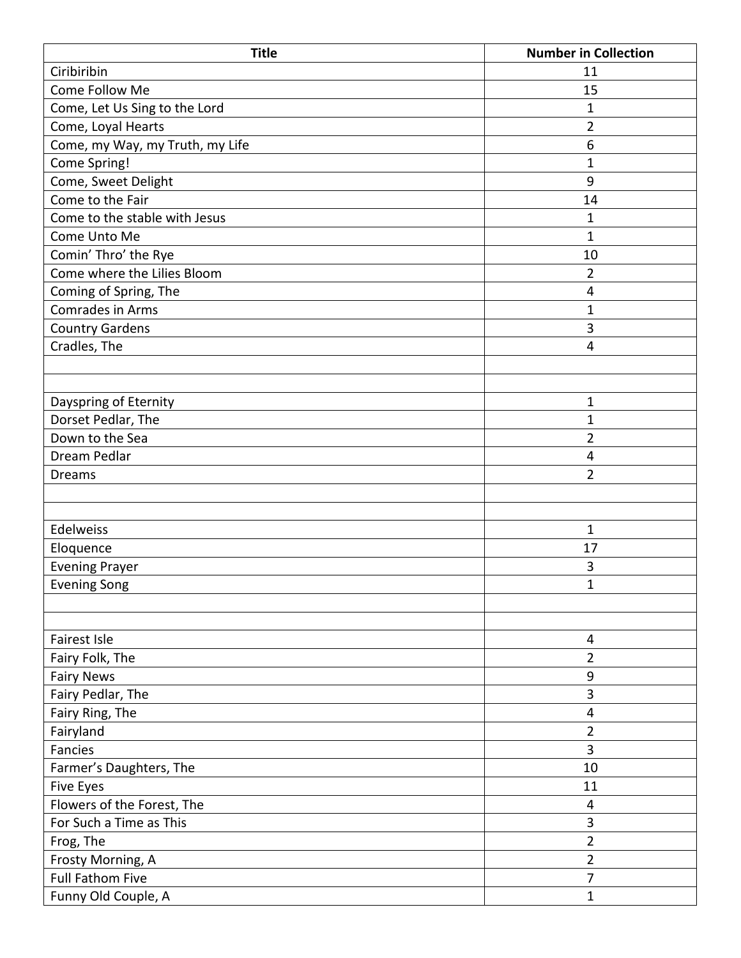| <b>Title</b>                    | <b>Number in Collection</b> |
|---------------------------------|-----------------------------|
| Ciribiribin                     | 11                          |
| Come Follow Me                  | 15                          |
| Come, Let Us Sing to the Lord   | $\mathbf{1}$                |
| Come, Loyal Hearts              | $\overline{2}$              |
| Come, my Way, my Truth, my Life | $6\phantom{1}6$             |
| Come Spring!                    | $\mathbf{1}$                |
| Come, Sweet Delight             | 9                           |
| Come to the Fair                | 14                          |
| Come to the stable with Jesus   | $\mathbf{1}$                |
| Come Unto Me                    | $\mathbf{1}$                |
| Comin' Thro' the Rye            | 10                          |
| Come where the Lilies Bloom     | $\overline{2}$              |
| Coming of Spring, The           | $\overline{\mathbf{4}}$     |
| Comrades in Arms                | $\mathbf{1}$                |
| <b>Country Gardens</b>          | 3                           |
| Cradles, The                    | $\overline{4}$              |
|                                 |                             |
|                                 |                             |
| Dayspring of Eternity           | 1                           |
| Dorset Pedlar, The              | $\mathbf{1}$                |
| Down to the Sea                 | $\overline{2}$              |
| Dream Pedlar                    | $\overline{4}$              |
| <b>Dreams</b>                   | $\overline{2}$              |
|                                 |                             |
|                                 |                             |
| Edelweiss                       | $\mathbf{1}$                |
| Eloquence                       | 17                          |
| <b>Evening Prayer</b>           | 3                           |
| Evening Song                    | 1                           |
|                                 |                             |
|                                 |                             |
| Fairest Isle                    | 4                           |
| Fairy Folk, The                 | $\overline{2}$              |
| <b>Fairy News</b>               | $\boldsymbol{9}$            |
| Fairy Pedlar, The               | 3                           |
| Fairy Ring, The                 | 4                           |
| Fairyland                       | $\overline{2}$              |
| Fancies                         | 3                           |
| Farmer's Daughters, The         | 10                          |
| <b>Five Eyes</b>                | 11                          |
| Flowers of the Forest, The      | $\overline{\mathbf{4}}$     |
| For Such a Time as This         | 3                           |
| Frog, The                       | $\overline{2}$              |
| Frosty Morning, A               | $\overline{2}$              |
| <b>Full Fathom Five</b>         | $\overline{7}$              |
| Funny Old Couple, A             | $\mathbf{1}$                |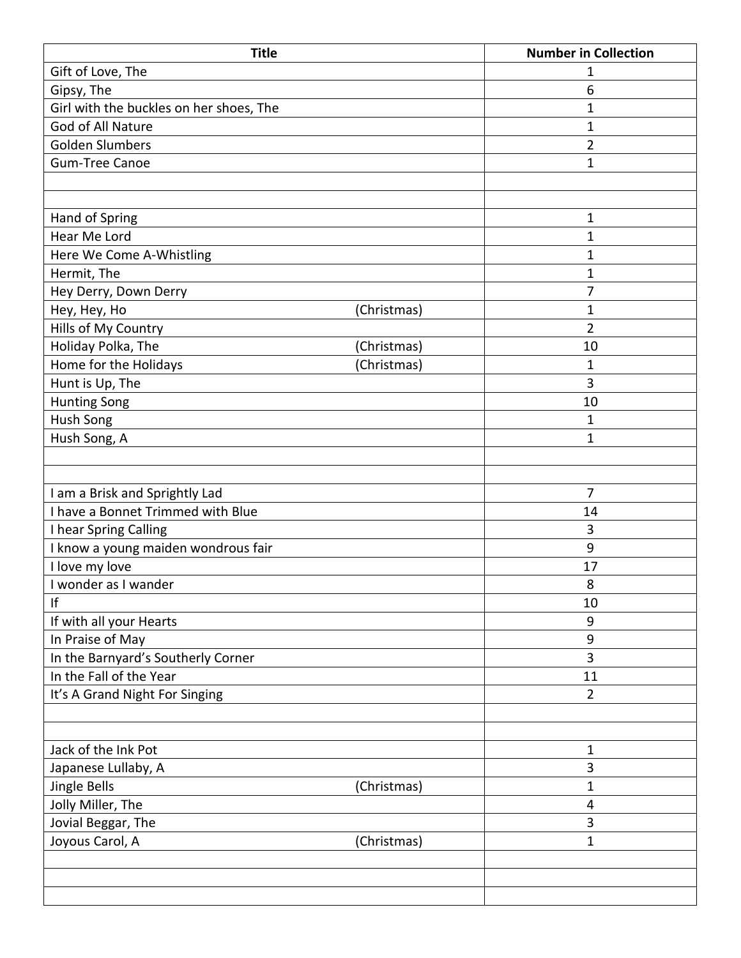| <b>Title</b>                            |             | <b>Number in Collection</b> |
|-----------------------------------------|-------------|-----------------------------|
| Gift of Love, The                       |             | 1                           |
| Gipsy, The                              |             | 6                           |
| Girl with the buckles on her shoes, The |             | $\mathbf{1}$                |
| God of All Nature                       |             | $\mathbf 1$                 |
| <b>Golden Slumbers</b>                  |             | $\overline{2}$              |
| <b>Gum-Tree Canoe</b>                   |             | $\mathbf{1}$                |
|                                         |             |                             |
|                                         |             |                             |
| Hand of Spring                          |             | $\mathbf 1$                 |
| Hear Me Lord                            |             | $\mathbf{1}$                |
| Here We Come A-Whistling                |             | $\mathbf{1}$                |
| Hermit, The                             |             | 1                           |
| Hey Derry, Down Derry                   |             | 7                           |
| Hey, Hey, Ho                            | (Christmas) | $\mathbf{1}$                |
| Hills of My Country                     |             | $\overline{2}$              |
| Holiday Polka, The                      | (Christmas) | 10                          |
| Home for the Holidays                   | (Christmas) | $\mathbf{1}$                |
| Hunt is Up, The                         |             | 3                           |
| <b>Hunting Song</b>                     |             | 10                          |
| Hush Song                               |             | $\mathbf{1}$                |
| Hush Song, A                            |             | $\mathbf{1}$                |
|                                         |             |                             |
|                                         |             |                             |
| I am a Brisk and Sprightly Lad          |             | $\overline{7}$              |
| I have a Bonnet Trimmed with Blue       |             | 14                          |
| I hear Spring Calling                   |             | 3                           |
| I know a young maiden wondrous fair     |             | 9                           |
| I love my love                          |             | 17                          |
| I wonder as I wander                    |             | 8                           |
| If                                      |             | 10                          |
| If with all your Hearts                 |             | 9                           |
| In Praise of May                        |             | 9                           |
| In the Barnyard's Southerly Corner      |             | 3                           |
| In the Fall of the Year                 |             | 11                          |
| It's A Grand Night For Singing          |             | $\overline{2}$              |
|                                         |             |                             |
|                                         |             |                             |
| Jack of the Ink Pot                     |             | 1                           |
| Japanese Lullaby, A                     |             | 3                           |
| Jingle Bells                            | (Christmas) | 1                           |
| Jolly Miller, The                       |             | 4                           |
| Jovial Beggar, The                      |             | 3                           |
| Joyous Carol, A                         | (Christmas) | $\mathbf{1}$                |
|                                         |             |                             |
|                                         |             |                             |
|                                         |             |                             |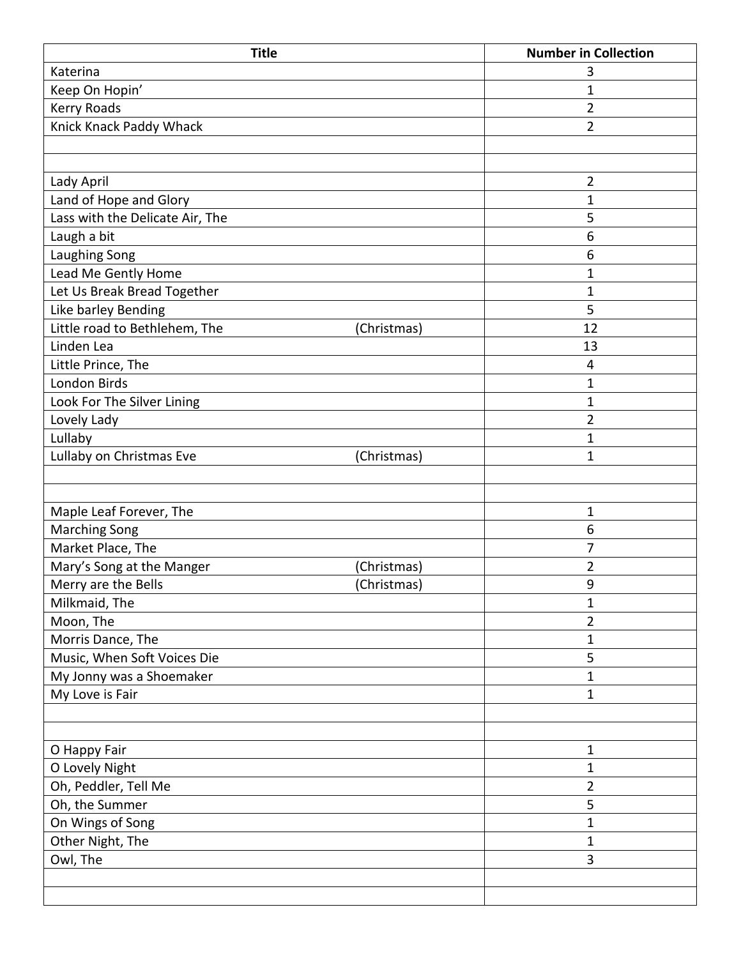| <b>Title</b>                    |             | <b>Number in Collection</b> |
|---------------------------------|-------------|-----------------------------|
| Katerina                        |             | 3                           |
| Keep On Hopin'                  |             | $\mathbf 1$                 |
| Kerry Roads                     |             | $\overline{2}$              |
| Knick Knack Paddy Whack         |             | $\overline{2}$              |
|                                 |             |                             |
|                                 |             |                             |
| Lady April                      |             | $\overline{2}$              |
| Land of Hope and Glory          |             | $\mathbf{1}$                |
| Lass with the Delicate Air, The |             | 5                           |
| Laugh a bit                     |             | 6                           |
| Laughing Song                   |             | 6                           |
| Lead Me Gently Home             |             | $\mathbf{1}$                |
| Let Us Break Bread Together     |             | $\mathbf{1}$                |
| Like barley Bending             |             | 5                           |
| Little road to Bethlehem, The   | (Christmas) | 12                          |
| Linden Lea                      |             | 13                          |
| Little Prince, The              |             | 4                           |
| London Birds                    |             | 1                           |
| Look For The Silver Lining      |             | 1                           |
| Lovely Lady                     |             | $\overline{2}$              |
| Lullaby                         |             | $\mathbf{1}$                |
| Lullaby on Christmas Eve        | (Christmas) | $\mathbf{1}$                |
|                                 |             |                             |
|                                 |             |                             |
| Maple Leaf Forever, The         |             | $\mathbf{1}$                |
| <b>Marching Song</b>            |             | 6                           |
| Market Place, The               |             | 7                           |
| Mary's Song at the Manger       | (Christmas) | $\overline{2}$              |
| Merry are the Bells             | (Christmas) | 9                           |
| Milkmaid, The                   |             | $\mathbf{1}$                |
| Moon, The                       |             | $\overline{2}$              |
| Morris Dance, The               |             | 1                           |
| Music, When Soft Voices Die     |             | 5                           |
| My Jonny was a Shoemaker        |             | $\mathbf{1}$                |
| My Love is Fair                 |             | $\mathbf{1}$                |
|                                 |             |                             |
|                                 |             |                             |
| O Happy Fair                    |             | $\mathbf 1$                 |
| O Lovely Night                  |             | $\mathbf{1}$                |
| Oh, Peddler, Tell Me            |             | $\overline{2}$              |
| Oh, the Summer                  |             | 5                           |
| On Wings of Song                |             | $\mathbf{1}$                |
| Other Night, The                |             | $\mathbf 1$                 |
| Owl, The                        |             | 3                           |
|                                 |             |                             |
|                                 |             |                             |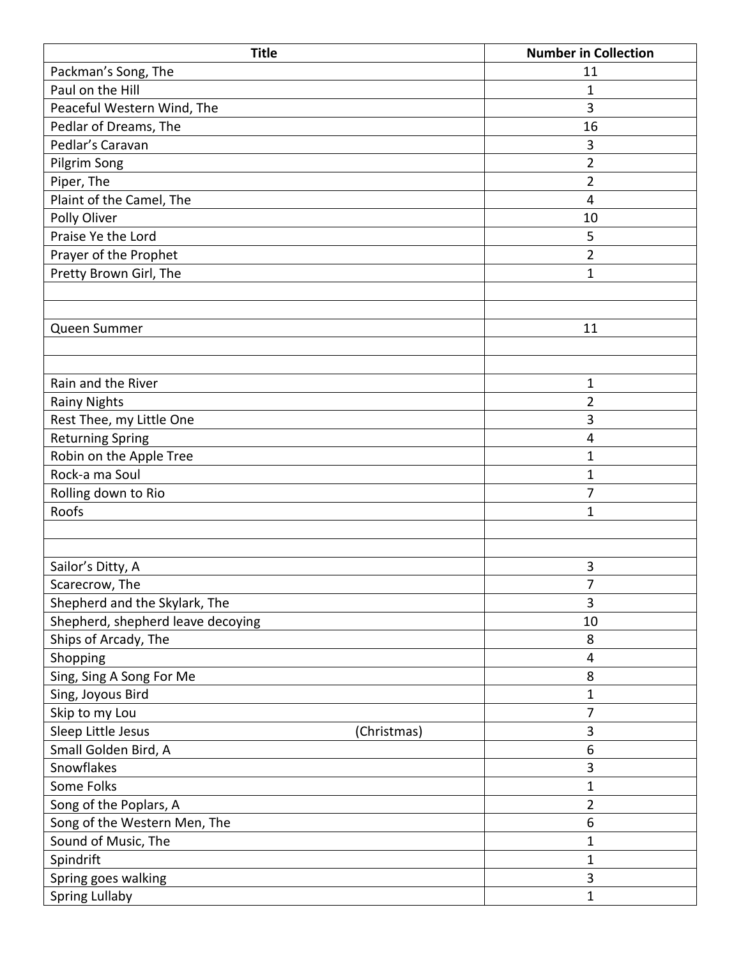| <b>Title</b>                      |             | <b>Number in Collection</b> |
|-----------------------------------|-------------|-----------------------------|
| Packman's Song, The               |             | 11                          |
| Paul on the Hill                  |             | $\mathbf 1$                 |
| Peaceful Western Wind, The        |             | 3                           |
| Pedlar of Dreams, The             |             | 16                          |
| Pedlar's Caravan                  |             | 3                           |
| Pilgrim Song                      |             | $\overline{2}$              |
| Piper, The                        |             | $\overline{2}$              |
| Plaint of the Camel, The          |             | $\overline{4}$              |
| Polly Oliver                      |             | 10                          |
| Praise Ye the Lord                |             | 5                           |
| Prayer of the Prophet             |             | 2                           |
| Pretty Brown Girl, The            |             | 1                           |
|                                   |             |                             |
|                                   |             |                             |
| Queen Summer                      |             | 11                          |
|                                   |             |                             |
|                                   |             |                             |
| Rain and the River                |             | $\mathbf{1}$                |
| <b>Rainy Nights</b>               |             | $\overline{2}$              |
| Rest Thee, my Little One          |             | 3                           |
| <b>Returning Spring</b>           |             | 4                           |
| Robin on the Apple Tree           |             | $\mathbf 1$                 |
| Rock-a ma Soul                    |             | 1                           |
| Rolling down to Rio               |             | $\overline{7}$              |
| Roofs                             |             | 1                           |
|                                   |             |                             |
|                                   |             |                             |
| Sailor's Ditty, A                 |             | 3                           |
| Scarecrow, The                    |             | $\overline{7}$              |
| Shepherd and the Skylark, The     |             | 3                           |
| Shepherd, shepherd leave decoying |             | 10                          |
| Ships of Arcady, The              |             | 8                           |
| Shopping                          |             | 4                           |
| Sing, Sing A Song For Me          |             | 8                           |
| Sing, Joyous Bird                 |             | 1                           |
| Skip to my Lou                    |             | 7                           |
| Sleep Little Jesus                | (Christmas) | $\mathbf{3}$                |
| Small Golden Bird, A              |             | 6                           |
| Snowflakes                        |             | 3                           |
| Some Folks                        |             | 1                           |
| Song of the Poplars, A            |             | $\overline{2}$              |
| Song of the Western Men, The      |             | 6                           |
| Sound of Music, The               |             | 1                           |
| Spindrift                         |             | 1                           |
| Spring goes walking               |             | 3                           |
| <b>Spring Lullaby</b>             |             | 1                           |